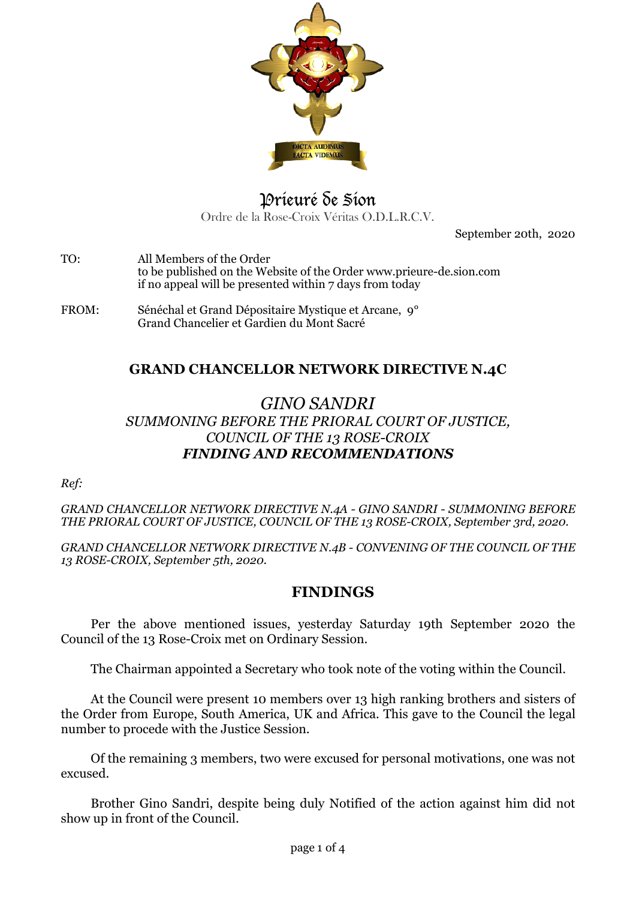

# Prieuré de Sion Ordre de la Rose-Croix Véritas O.D.L.R.C.V.

September 20th, 2020

TO: All Members of the Order to be published on the Website of the Order www.prieure-de.sion.com if no appeal will be presented within 7 days from today

FROM: Sénéchal et Grand Dépositaire Mystique et Arcane, 9° Grand Chancelier et Gardien du Mont Sacré

## **GRAND CHANCELLOR NETWORK DIRECTIVE N.4C**

## *GINO SANDRI SUMMONING BEFORE THE PRIORAL COURT OF JUSTICE, COUNCIL OF THE 13 ROSE-CROIX FINDING AND RECOMMENDATIONS*

*Ref:* 

*GRAND CHANCELLOR NETWORK DIRECTIVE N.4A - GINO SANDRI - SUMMONING BEFORE THE PRIORAL COURT OF JUSTICE, COUNCIL OF THE 13 ROSE-CROIX, September 3rd, 2020.*

*GRAND CHANCELLOR NETWORK DIRECTIVE N.4B - CONVENING OF THE COUNCIL OF THE 13 ROSE-CROIX, September 5th, 2020.* 

### **FINDINGS**

Per the above mentioned issues, yesterday Saturday 19th September 2020 the Council of the 13 Rose-Croix met on Ordinary Session.

The Chairman appointed a Secretary who took note of the voting within the Council.

At the Council were present 10 members over 13 high ranking brothers and sisters of the Order from Europe, South America, UK and Africa. This gave to the Council the legal number to procede with the Justice Session.

Of the remaining 3 members, two were excused for personal motivations, one was not excused.

Brother Gino Sandri, despite being duly Notified of the action against him did not show up in front of the Council.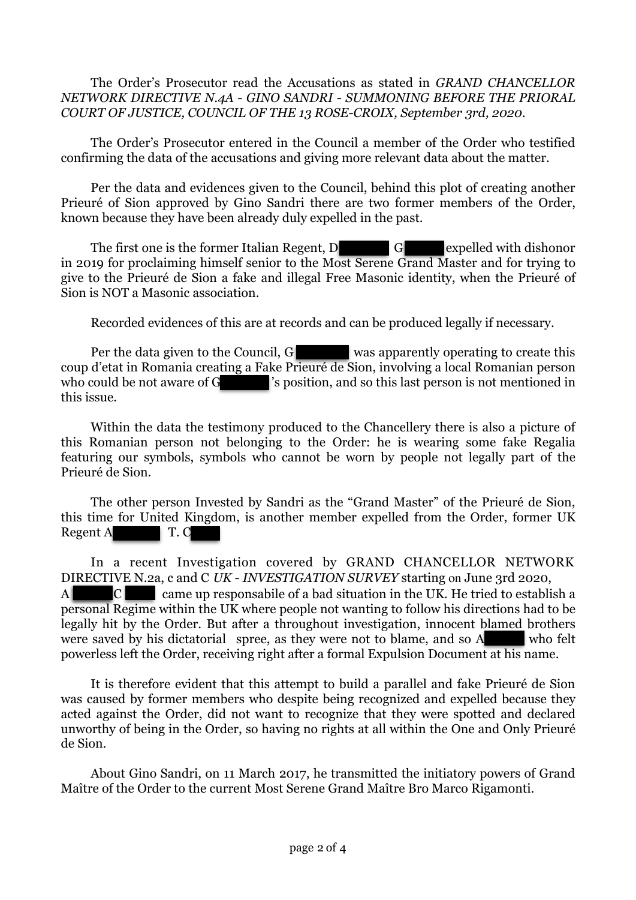The Order's Prosecutor read the Accusations as stated in *GRAND CHANCELLOR NETWORK DIRECTIVE N.4A - GINO SANDRI - SUMMONING BEFORE THE PRIORAL COURT OF JUSTICE, COUNCIL OF THE 13 ROSE-CROIX, September 3rd, 2020.*

The Order's Prosecutor entered in the Council a member of the Order who testified confirming the data of the accusations and giving more relevant data about the matter.

Per the data and evidences given to the Council, behind this plot of creating another Prieuré of Sion approved by Gino Sandri there are two former members of the Order, known because they have been already duly expelled in the past.

The first one is the former Italian Regent, D G expelled with dishonor in 2019 for proclaiming himself senior to the Most Serene Grand Master and for trying to give to the Prieuré de Sion a fake and illegal Free Masonic identity, when the Prieuré of Sion is NOT a Masonic association.

Recorded evidences of this are at records and can be produced legally if necessary.

Per the data given to the Council, G was apparently operating to create this coup d'etat in Romania creating a Fake Prieuré de Sion, involving a local Romanian person who could be not aware of G  $\sim$  's position, and so this last person is not mentioned in this issue.

Within the data the testimony produced to the Chancellery there is also a picture of this Romanian person not belonging to the Order: he is wearing some fake Regalia featuring our symbols, symbols who cannot be worn by people not legally part of the Prieuré de Sion.

The other person Invested by Sandri as the "Grand Master" of the Prieuré de Sion, this time for United Kingdom, is another member expelled from the Order, former UK Regent A T. C

In a recent Investigation covered by GRAND CHANCELLOR NETWORK DIRECTIVE N.2a, c and C *UK - INVESTIGATION SURVEY* starting on June 3rd 2020,  $A$  C came up responsabile of a bad situation in the UK. He tried to establish a personal Regime within the UK where people not wanting to follow his directions had to be legally hit by the Order. But after a throughout investigation, innocent blamed brothers were saved by his dictatorial spree, as they were not to blame, and so A who felt powerless left the Order, receiving right after a formal Expulsion Document at his name. ı Į

It is therefore evident that this attempt to build a parallel and fake Prieuré de Sion was caused by former members who despite being recognized and expelled because they acted against the Order, did not want to recognize that they were spotted and declared unworthy of being in the Order, so having no rights at all within the One and Only Prieuré de Sion.

About Gino Sandri, on 11 March 2017, he transmitted the initiatory powers of Grand Maître of the Order to the current Most Serene Grand Maître Bro Marco Rigamonti.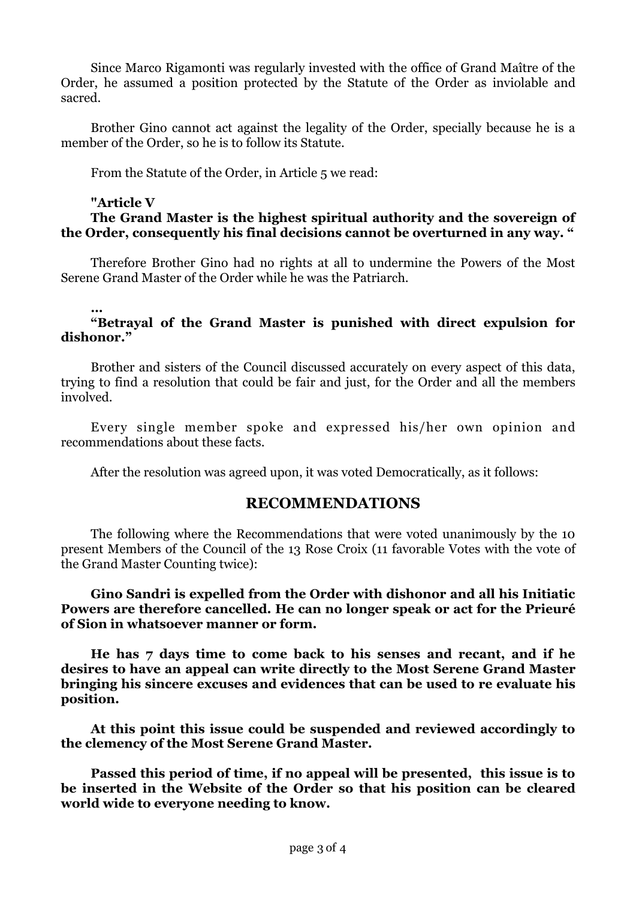Since Marco Rigamonti was regularly invested with the office of Grand Maître of the Order, he assumed a position protected by the Statute of the Order as inviolable and sacred.

Brother Gino cannot act against the legality of the Order, specially because he is a member of the Order, so he is to follow its Statute.

From the Statute of the Order, in Article 5 we read:

#### **"Article V**

### **The Grand Master is the highest spiritual authority and the sovereign of the Order, consequently his final decisions cannot be overturned in any way. "**

Therefore Brother Gino had no rights at all to undermine the Powers of the Most Serene Grand Master of the Order while he was the Patriarch.

#### **… "Betrayal of the Grand Master is punished with direct expulsion for dishonor."**

Brother and sisters of the Council discussed accurately on every aspect of this data, trying to find a resolution that could be fair and just, for the Order and all the members involved.

Every single member spoke and expressed his/her own opinion and recommendations about these facts.

After the resolution was agreed upon, it was voted Democratically, as it follows:

### **RECOMMENDATIONS**

The following where the Recommendations that were voted unanimously by the 10 present Members of the Council of the 13 Rose Croix (11 favorable Votes with the vote of the Grand Master Counting twice):

#### **Gino Sandri is expelled from the Order with dishonor and all his Initiatic Powers are therefore cancelled. He can no longer speak or act for the Prieuré of Sion in whatsoever manner or form.**

**He has 7 days time to come back to his senses and recant, and if he desires to have an appeal can write directly to the Most Serene Grand Master bringing his sincere excuses and evidences that can be used to re evaluate his position.** 

**At this point this issue could be suspended and reviewed accordingly to the clemency of the Most Serene Grand Master.** 

**Passed this period of time, if no appeal will be presented, this issue is to be inserted in the Website of the Order so that his position can be cleared world wide to everyone needing to know.**